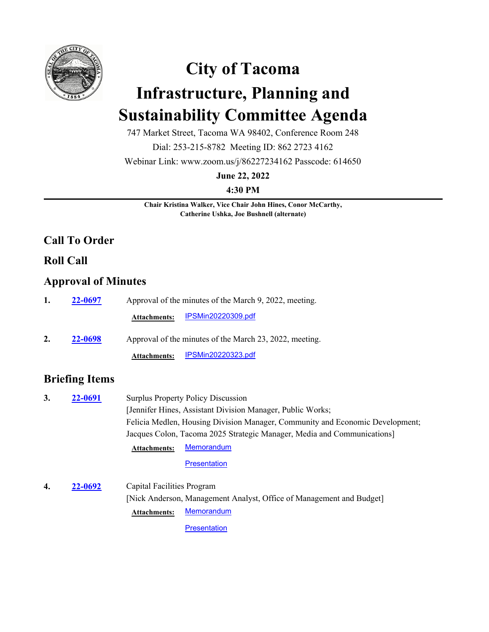

# **City of Tacoma Infrastructure, Planning and Sustainability Committee Agenda**

747 Market Street, Tacoma WA 98402, Conference Room 248

Dial: 253-215-8782 Meeting ID: 862 2723 4162

Webinar Link: www.zoom.us/j/86227234162 Passcode: 614650

**June 22, 2022**

**4:30 PM**

**Chair Kristina Walker, Vice Chair John Hines, Conor McCarthy, Catherine Ushka, Joe Bushnell (alternate)**

## **Call To Order**

### **Roll Call**

### **Approval of Minutes**

| 1. | 22-0697 | Approval of the minutes of the March 9, 2022, meeting.  |  |  |
|----|---------|---------------------------------------------------------|--|--|
|    |         | <u>IPSMin20220309.pdf</u><br><b>Attachments:</b>        |  |  |
| 2. | 22-0698 | Approval of the minutes of the March 23, 2022, meeting. |  |  |
|    |         | <u>IPSMin20220323.pdf</u><br><b>Attachments:</b>        |  |  |

# **Briefing Items**

| 3. | 22-0691 |                            | <b>Surplus Property Policy Discussion</b>                                     |
|----|---------|----------------------------|-------------------------------------------------------------------------------|
|    |         |                            | [Jennifer Hines, Assistant Division Manager, Public Works;                    |
|    |         |                            | Felicia Medlen, Housing Division Manager, Community and Economic Development; |
|    |         |                            | Jacques Colon, Tacoma 2025 Strategic Manager, Media and Communications]       |
|    |         | <b>Attachments:</b>        | <b>Memorandum</b>                                                             |
|    |         |                            | <b>Presentation</b>                                                           |
| 4. | 22-0692 | Capital Facilities Program |                                                                               |
|    |         |                            | [Nick Anderson, Management Analyst, Office of Management and Budget]          |
|    |         | <b>Attachments:</b>        | <b>Memorandum</b>                                                             |

**[Presentation](http://cityoftacoma.legistar.com/gateway.aspx?M=F&ID=c882e4f1-8668-4cc6-9fb6-8323c2d8c9bc.pdf)**